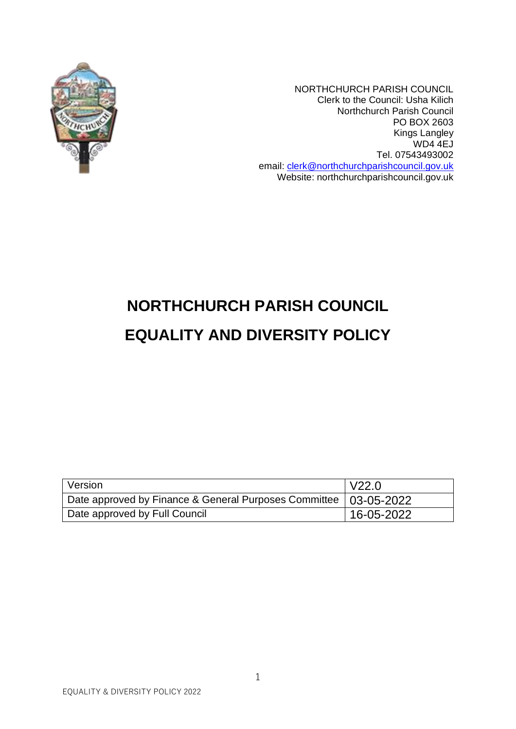

NORTHCHURCH PARISH COUNCIL Clerk to the Council: Usha Kilich Northchurch Parish Council PO BOX 2603 Kings Langley WD4 4EJ Tel. 07543493002 email: [clerk@northchurchparishcouncil.gov.uk](mailto:clerk@northchurchparishcouncil.gov.uk) Website: northchurchparishcouncil.gov.uk

# **NORTHCHURCH PARISH COUNCIL EQUALITY AND DIVERSITY POLICY**

| Version                                                            | $\overline{\phantom{0}}$ V22.0 |
|--------------------------------------------------------------------|--------------------------------|
| Date approved by Finance & General Purposes Committee   03-05-2022 |                                |
| Date approved by Full Council                                      | $16 - 05 - 2022$               |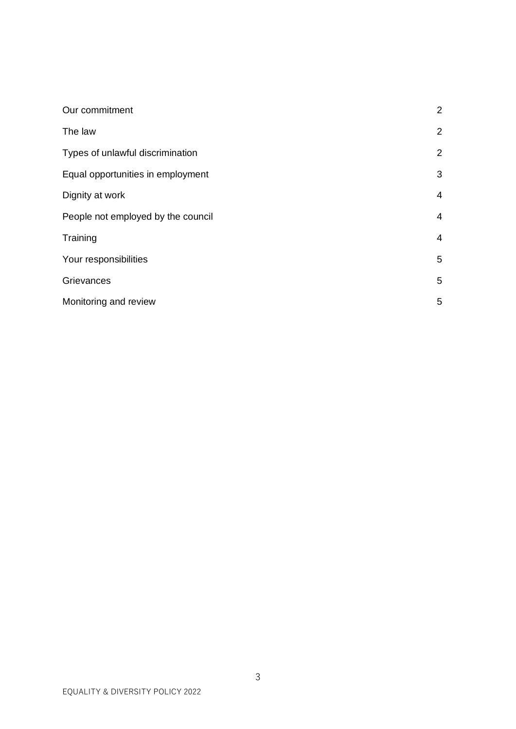| Our commitment                     | 2              |
|------------------------------------|----------------|
| The law                            | $\overline{2}$ |
| Types of unlawful discrimination   | 2              |
| Equal opportunities in employment  | 3              |
| Dignity at work                    | 4              |
| People not employed by the council | 4              |
| Training                           | 4              |
| Your responsibilities              | 5              |
| Grievances                         | 5              |
| Monitoring and review              | 5              |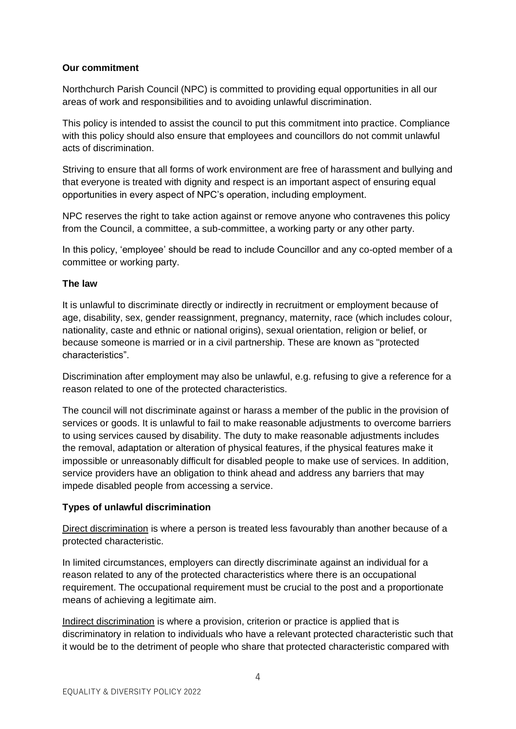## **Our commitment**

Northchurch Parish Council (NPC) is committed to providing equal opportunities in all our areas of work and responsibilities and to avoiding unlawful discrimination.

This policy is intended to assist the council to put this commitment into practice. Compliance with this policy should also ensure that employees and councillors do not commit unlawful acts of discrimination.

Striving to ensure that all forms of work environment are free of harassment and bullying and that everyone is treated with dignity and respect is an important aspect of ensuring equal opportunities in every aspect of NPC's operation, including employment.

NPC reserves the right to take action against or remove anyone who contravenes this policy from the Council, a committee, a sub-committee, a working party or any other party.

In this policy, 'employee' should be read to include Councillor and any co-opted member of a committee or working party.

#### **The law**

It is unlawful to discriminate directly or indirectly in recruitment or employment because of age, disability, sex, gender reassignment, pregnancy, maternity, race (which includes colour, nationality, caste and ethnic or national origins), sexual orientation, religion or belief, or because someone is married or in a civil partnership. These are known as "protected characteristics".

Discrimination after employment may also be unlawful, e.g. refusing to give a reference for a reason related to one of the protected characteristics.

The council will not discriminate against or harass a member of the public in the provision of services or goods. It is unlawful to fail to make reasonable adjustments to overcome barriers to using services caused by disability. The duty to make reasonable adjustments includes the removal, adaptation or alteration of physical features, if the physical features make it impossible or unreasonably difficult for disabled people to make use of services. In addition, service providers have an obligation to think ahead and address any barriers that may impede disabled people from accessing a service.

# **Types of unlawful discrimination**

Direct discrimination is where a person is treated less favourably than another because of a protected characteristic.

In limited circumstances, employers can directly discriminate against an individual for a reason related to any of the protected characteristics where there is an occupational requirement. The occupational requirement must be crucial to the post and a proportionate means of achieving a legitimate aim.

Indirect discrimination is where a provision, criterion or practice is applied that is discriminatory in relation to individuals who have a relevant protected characteristic such that it would be to the detriment of people who share that protected characteristic compared with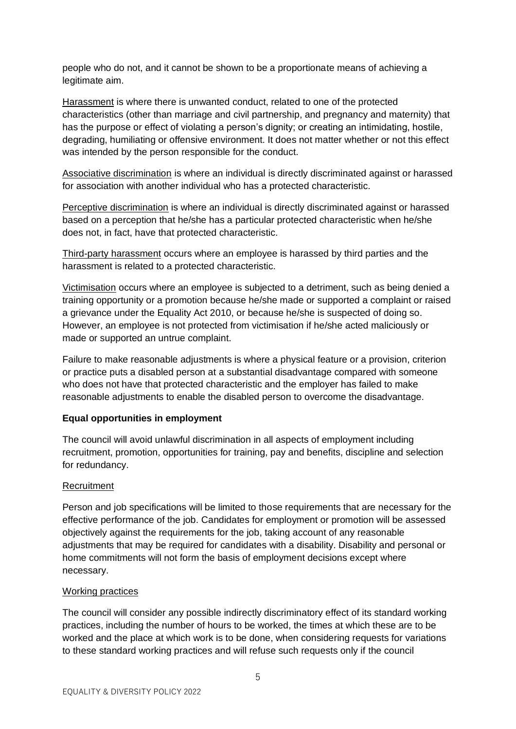people who do not, and it cannot be shown to be a proportionate means of achieving a legitimate aim.

Harassment is where there is unwanted conduct, related to one of the protected characteristics (other than marriage and civil partnership, and pregnancy and maternity) that has the purpose or effect of violating a person's dignity; or creating an intimidating, hostile, degrading, humiliating or offensive environment. It does not matter whether or not this effect was intended by the person responsible for the conduct.

Associative discrimination is where an individual is directly discriminated against or harassed for association with another individual who has a protected characteristic.

Perceptive discrimination is where an individual is directly discriminated against or harassed based on a perception that he/she has a particular protected characteristic when he/she does not, in fact, have that protected characteristic.

Third-party harassment occurs where an employee is harassed by third parties and the harassment is related to a protected characteristic.

Victimisation occurs where an employee is subjected to a detriment, such as being denied a training opportunity or a promotion because he/she made or supported a complaint or raised a grievance under the Equality Act 2010, or because he/she is suspected of doing so. However, an employee is not protected from victimisation if he/she acted maliciously or made or supported an untrue complaint.

Failure to make reasonable adjustments is where a physical feature or a provision, criterion or practice puts a disabled person at a substantial disadvantage compared with someone who does not have that protected characteristic and the employer has failed to make reasonable adjustments to enable the disabled person to overcome the disadvantage.

# **Equal opportunities in employment**

The council will avoid unlawful discrimination in all aspects of employment including recruitment, promotion, opportunities for training, pay and benefits, discipline and selection for redundancy.

#### Recruitment

Person and job specifications will be limited to those requirements that are necessary for the effective performance of the job. Candidates for employment or promotion will be assessed objectively against the requirements for the job, taking account of any reasonable adjustments that may be required for candidates with a disability. Disability and personal or home commitments will not form the basis of employment decisions except where necessary.

#### Working practices

The council will consider any possible indirectly discriminatory effect of its standard working practices, including the number of hours to be worked, the times at which these are to be worked and the place at which work is to be done, when considering requests for variations to these standard working practices and will refuse such requests only if the council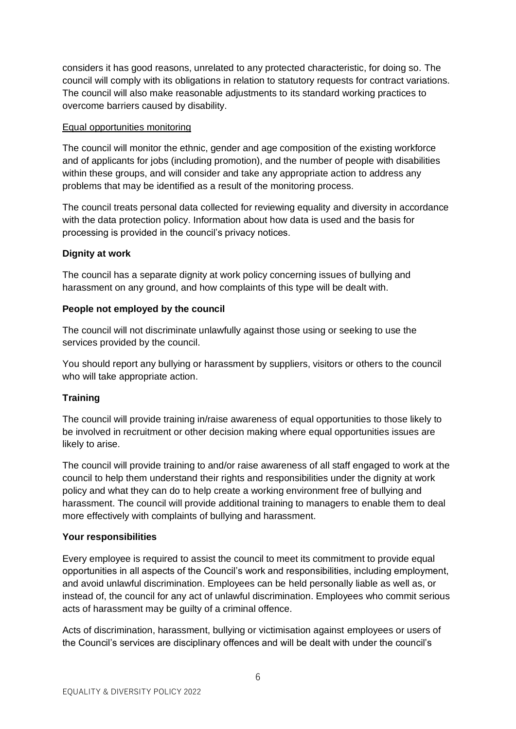considers it has good reasons, unrelated to any protected characteristic, for doing so. The council will comply with its obligations in relation to statutory requests for contract variations. The council will also make reasonable adjustments to its standard working practices to overcome barriers caused by disability.

#### Equal opportunities monitoring

The council will monitor the ethnic, gender and age composition of the existing workforce and of applicants for jobs (including promotion), and the number of people with disabilities within these groups, and will consider and take any appropriate action to address any problems that may be identified as a result of the monitoring process.

The council treats personal data collected for reviewing equality and diversity in accordance with the data protection policy. Information about how data is used and the basis for processing is provided in the council's privacy notices.

#### **Dignity at work**

The council has a separate dignity at work policy concerning issues of bullying and harassment on any ground, and how complaints of this type will be dealt with.

#### **People not employed by the council**

The council will not discriminate unlawfully against those using or seeking to use the services provided by the council.

You should report any bullying or harassment by suppliers, visitors or others to the council who will take appropriate action.

# **Training**

The council will provide training in/raise awareness of equal opportunities to those likely to be involved in recruitment or other decision making where equal opportunities issues are likely to arise.

The council will provide training to and/or raise awareness of all staff engaged to work at the council to help them understand their rights and responsibilities under the dignity at work policy and what they can do to help create a working environment free of bullying and harassment. The council will provide additional training to managers to enable them to deal more effectively with complaints of bullying and harassment.

#### **Your responsibilities**

Every employee is required to assist the council to meet its commitment to provide equal opportunities in all aspects of the Council's work and responsibilities, including employment, and avoid unlawful discrimination. Employees can be held personally liable as well as, or instead of, the council for any act of unlawful discrimination. Employees who commit serious acts of harassment may be guilty of a criminal offence.

Acts of discrimination, harassment, bullying or victimisation against employees or users of the Council's services are disciplinary offences and will be dealt with under the council's